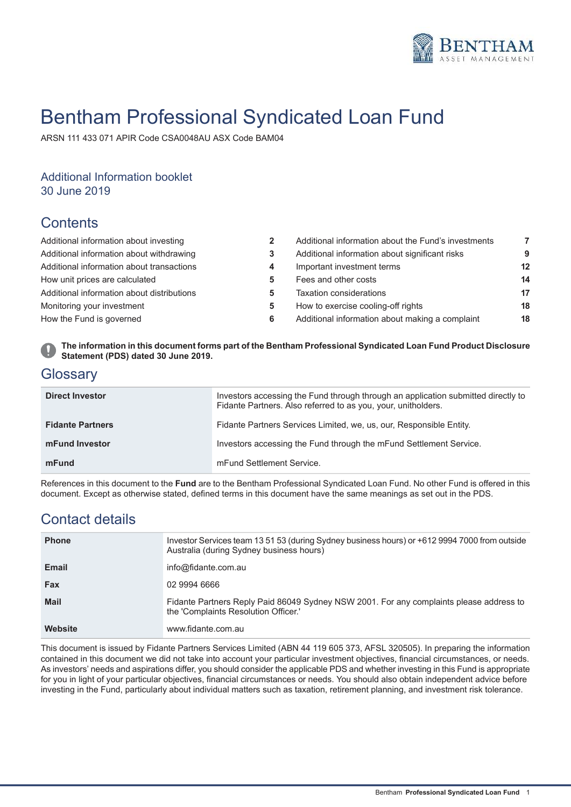

# Bentham Professional Syndicated Loan Fund

ARSN 111 433 071 APIR Code CSA0048AU ASX Code BAM04

# Additional Information booklet

30 June 2019

# **Contents**

| Additional information about investing     |   | Additional information about the Fund's investments | 7               |
|--------------------------------------------|---|-----------------------------------------------------|-----------------|
| Additional information about withdrawing   |   | Additional information about significant risks      | 9               |
| Additional information about transactions  |   | Important investment terms                          | 12 <sup>2</sup> |
| How unit prices are calculated             |   | Fees and other costs                                | 14              |
| Additional information about distributions |   | Taxation considerations                             | 17              |
| Monitoring your investment                 | 5 | How to exercise cooling-off rights                  | 18              |
| How the Fund is governed                   | 6 | Additional information about making a complaint     | 18              |
|                                            |   |                                                     |                 |

**The information in this document forms part of the Bentham Professional Syndicated Loan Fund Product Disclosure Statement (PDS) dated 30 June 2019.**

# **Glossary**

| <b>Direct Investor</b>  | Investors accessing the Fund through through an application submitted directly to<br>Fidante Partners. Also referred to as you, your, unitholders. |
|-------------------------|----------------------------------------------------------------------------------------------------------------------------------------------------|
| <b>Fidante Partners</b> | Fidante Partners Services Limited, we, us, our, Responsible Entity.                                                                                |
| mFund Investor          | Investors accessing the Fund through the mFund Settlement Service.                                                                                 |
| mFund                   | mFund Settlement Service.                                                                                                                          |

References in this document to the **Fund** are to the Bentham Professional Syndicated Loan Fund. No other Fund is offered in this document. Except as otherwise stated, defined terms in this document have the same meanings as set out in the PDS.

# Contact details

| <b>Phone</b> | Investor Services team 13 51 53 (during Sydney business hours) or +612 9994 7000 from outside<br>Australia (during Sydney business hours) |
|--------------|-------------------------------------------------------------------------------------------------------------------------------------------|
| <b>Email</b> | info@fidante.com.au                                                                                                                       |
| <b>Fax</b>   | 02 9994 6666                                                                                                                              |
| Mail         | Fidante Partners Reply Paid 86049 Sydney NSW 2001. For any complaints please address to<br>the 'Complaints Resolution Officer.'           |
| Website      | www.fidante.com.au                                                                                                                        |

This document is issued by Fidante Partners Services Limited (ABN 44 119 605 373, AFSL 320505). In preparing the information contained in this document we did not take into account your particular investment objectives, financial circumstances, or needs. As investors' needs and aspirations differ, you should consider the applicable PDS and whether investing in this Fund is appropriate for you in light of your particular objectives, financial circumstances or needs. You should also obtain independent advice before investing in the Fund, particularly about individual matters such as taxation, retirement planning, and investment risk tolerance.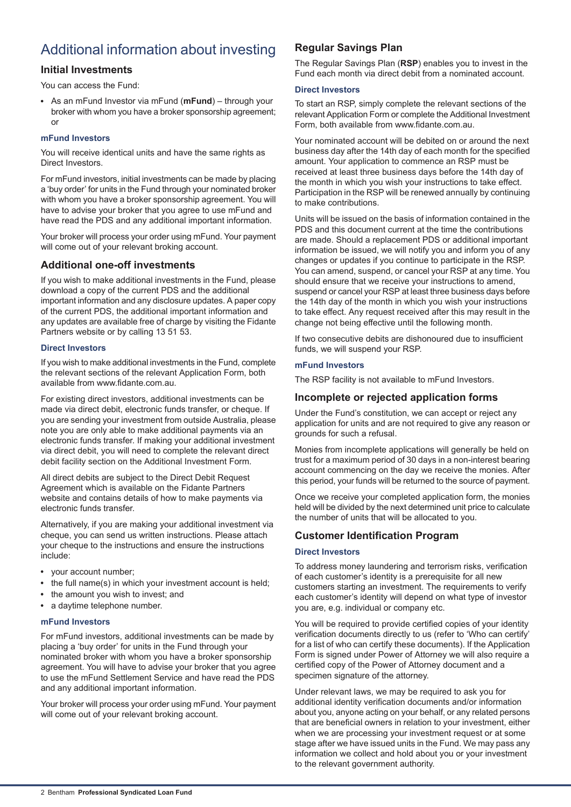# <span id="page-1-0"></span>Additional information about investing

## **Initial Investments**

You can access the Fund:

As an mFund Investor via mFund (**mFund**) – through your broker with whom you have a broker sponsorship agreement; or

## **mFund Investors**

You will receive identical units and have the same rights as Direct Investors.

For mFund investors, initial investments can be made by placing a 'buy order' for units in the Fund through your nominated broker with whom you have a broker sponsorship agreement. You will have to advise your broker that you agree to use mFund and have read the PDS and any additional important information.

Your broker will process your order using mFund. Your payment will come out of your relevant broking account.

## **Additional one-off investments**

If you wish to make additional investments in the Fund, please download a copy of the current PDS and the additional important information and any disclosure updates. A paper copy of the current PDS, the additional important information and any updates are available free of charge by visiting the Fidante Partners website or by calling 13 51 53.

## **Direct Investors**

If you wish to make additional investments in the Fund, complete the relevant sections of the relevant Application Form, both available from www.fidante.com.au.

For existing direct investors, additional investments can be made via direct debit, electronic funds transfer, or cheque. If you are sending your investment from outside Australia, please note you are only able to make additional payments via an electronic funds transfer. If making your additional investment via direct debit, you will need to complete the relevant direct debit facility section on the Additional Investment Form.

All direct debits are subject to the Direct Debit Request Agreement which is available on the Fidante Partners website and contains details of how to make payments via electronic funds transfer.

Alternatively, if you are making your additional investment via cheque, you can send us written instructions. Please attach your cheque to the instructions and ensure the instructions include:

- your account number;
- the full name(s) in which your investment account is held;
- the amount you wish to invest; and
- a daytime telephone number.  $\bullet$

## **mFund Investors**

For mFund investors, additional investments can be made by placing a 'buy order' for units in the Fund through your nominated broker with whom you have a broker sponsorship agreement. You will have to advise your broker that you agree to use the mFund Settlement Service and have read the PDS and any additional important information.

Your broker will process your order using mFund. Your payment will come out of your relevant broking account.

## **Regular Savings Plan**

The Regular Savings Plan (**RSP**) enables you to invest in the Fund each month via direct debit from a nominated account.

### **Direct Investors**

To start an RSP, simply complete the relevant sections of the relevant Application Form or complete the Additional Investment Form, both available from www.fidante.com.au.

Your nominated account will be debited on or around the next business day after the 14th day of each month for the specified amount. Your application to commence an RSP must be received at least three business days before the 14th day of the month in which you wish your instructions to take effect. Participation in the RSP will be renewed annually by continuing to make contributions.

Units will be issued on the basis of information contained in the PDS and this document current at the time the contributions are made. Should a replacement PDS or additional important information be issued, we will notify you and inform you of any changes or updates if you continue to participate in the RSP. You can amend, suspend, or cancel your RSP at any time. You should ensure that we receive your instructions to amend, suspend or cancel your RSP at least three business days before the 14th day of the month in which you wish your instructions to take effect. Any request received after this may result in the change not being effective until the following month.

If two consecutive debits are dishonoured due to insufficient funds, we will suspend your RSP.

### **mFund Investors**

The RSP facility is not available to mFund Investors.

## **Incomplete or rejected application forms**

Under the Fund's constitution, we can accept or reject any application for units and are not required to give any reason or grounds for such a refusal.

Monies from incomplete applications will generally be held on trust for a maximum period of 30 days in a non-interest bearing account commencing on the day we receive the monies. After this period, your funds will be returned to the source of payment.

Once we receive your completed application form, the monies held will be divided by the next determined unit price to calculate the number of units that will be allocated to you.

## **Customer Identification Program**

## **Direct Investors**

To address money laundering and terrorism risks, verification of each customer's identity is a prerequisite for all new customers starting an investment. The requirements to verify each customer's identity will depend on what type of investor you are, e.g. individual or company etc.

You will be required to provide certified copies of your identity verification documents directly to us (refer to 'Who can certify' for a list of who can certify these documents). If the Application Form is signed under Power of Attorney we will also require a certified copy of the Power of Attorney document and a specimen signature of the attorney.

Under relevant laws, we may be required to ask you for additional identity verification documents and/or information about you, anyone acting on your behalf, or any related persons that are beneficial owners in relation to your investment, either when we are processing your investment request or at some stage after we have issued units in the Fund. We may pass any information we collect and hold about you or your investment to the relevant government authority.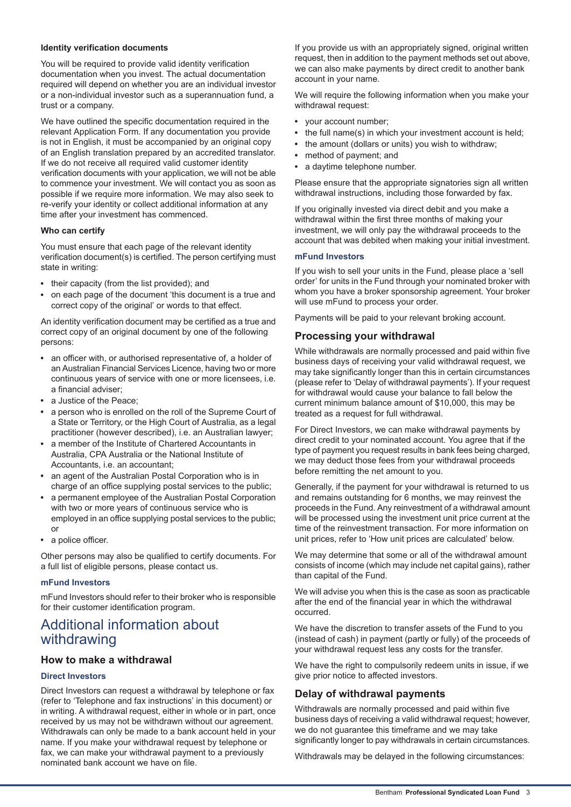### **Identity verification documents**

You will be required to provide valid identity verification documentation when you invest. The actual documentation required will depend on whether you are an individual investor or a non-individual investor such as a superannuation fund, a trust or a company.

We have outlined the specific documentation required in the relevant Application Form. If any documentation you provide is not in English, it must be accompanied by an original copy of an English translation prepared by an accredited translator. If we do not receive all required valid customer identity verification documents with your application, we will not be able to commence your investment. We will contact you as soon as possible if we require more information. We may also seek to re-verify your identity or collect additional information at any time after your investment has commenced.

#### **Who can certify**

You must ensure that each page of the relevant identity verification document(s) is certified. The person certifying must state in writing:

- their capacity (from the list provided); and
- on each page of the document 'this document is a true and correct copy of the original' or words to that effect.

An identity verification document may be certified as a true and correct copy of an original document by one of the following persons:

- an officer with, or authorised representative of, a holder of an Australian Financial Services Licence, having two or more continuous years of service with one or more licensees, i.e. a financial adviser;
- a Justice of the Peace;
- a person who is enrolled on the roll of the Supreme Court of a State or Territory, or the High Court of Australia, as a legal practitioner (however described), i.e. an Australian lawyer;
- a member of the Institute of Chartered Accountants in Australia, CPA Australia or the National Institute of Accountants, i.e. an accountant;
- an agent of the Australian Postal Corporation who is in charge of an office supplying postal services to the public;
- a permanent employee of the Australian Postal Corporation with two or more years of continuous service who is employed in an office supplying postal services to the public; or
- a police officer.

<span id="page-2-0"></span>Other persons may also be qualified to certify documents. For a full list of eligible persons, please contact us.

## **mFund Investors**

mFund Investors should refer to their broker who is responsible for their customer identification program.

## Additional information about withdrawing

## **How to make a withdrawal**

## **Direct Investors**

Direct Investors can request a withdrawal by telephone or fax (refer to 'Telephone and fax instructions' in this document) or in writing. A withdrawal request, either in whole or in part, once received by us may not be withdrawn without our agreement. Withdrawals can only be made to a bank account held in your name. If you make your withdrawal request by telephone or fax, we can make your withdrawal payment to a previously nominated bank account we have on file.

If you provide us with an appropriately signed, original written request, then in addition to the payment methods set out above, we can also make payments by direct credit to another bank account in your name.

We will require the following information when you make your withdrawal request:

- your account number;
- the full name(s) in which your investment account is held;
- the amount (dollars or units) you wish to withdraw;
- $\bullet$ method of payment; and
- a daytime telephone number.

Please ensure that the appropriate signatories sign all written withdrawal instructions, including those forwarded by fax.

If you originally invested via direct debit and you make a withdrawal within the first three months of making your investment, we will only pay the withdrawal proceeds to the account that was debited when making your initial investment.

#### **mFund Investors**

If you wish to sell your units in the Fund, please place a 'sell order' for units in the Fund through your nominated broker with whom you have a broker sponsorship agreement. Your broker will use mFund to process your order.

Payments will be paid to your relevant broking account.

## **Processing your withdrawal**

While withdrawals are normally processed and paid within five business days of receiving your valid withdrawal request, we may take significantly longer than this in certain circumstances (please refer to 'Delay of withdrawal payments'). If your request for withdrawal would cause your balance to fall below the current minimum balance amount of \$10,000, this may be treated as a request for full withdrawal.

For Direct Investors, we can make withdrawal payments by direct credit to your nominated account. You agree that if the type of payment you request results in bank fees being charged, we may deduct those fees from your withdrawal proceeds before remitting the net amount to you.

Generally, if the payment for your withdrawal is returned to us and remains outstanding for 6 months, we may reinvest the proceeds in the Fund. Any reinvestment of a withdrawal amount will be processed using the investment unit price current at the time of the reinvestment transaction. For more information on unit prices, refer to 'How unit prices are calculated' below.

We may determine that some or all of the withdrawal amount consists of income (which may include net capital gains), rather than capital of the Fund.

We will advise you when this is the case as soon as practicable after the end of the financial year in which the withdrawal occurred.

We have the discretion to transfer assets of the Fund to you (instead of cash) in payment (partly or fully) of the proceeds of your withdrawal request less any costs for the transfer.

We have the right to compulsorily redeem units in issue, if we give prior notice to affected investors.

## **Delay of withdrawal payments**

Withdrawals are normally processed and paid within five business days of receiving a valid withdrawal request; however, we do not guarantee this timeframe and we may take significantly longer to pay withdrawals in certain circumstances.

Withdrawals may be delayed in the following circumstances: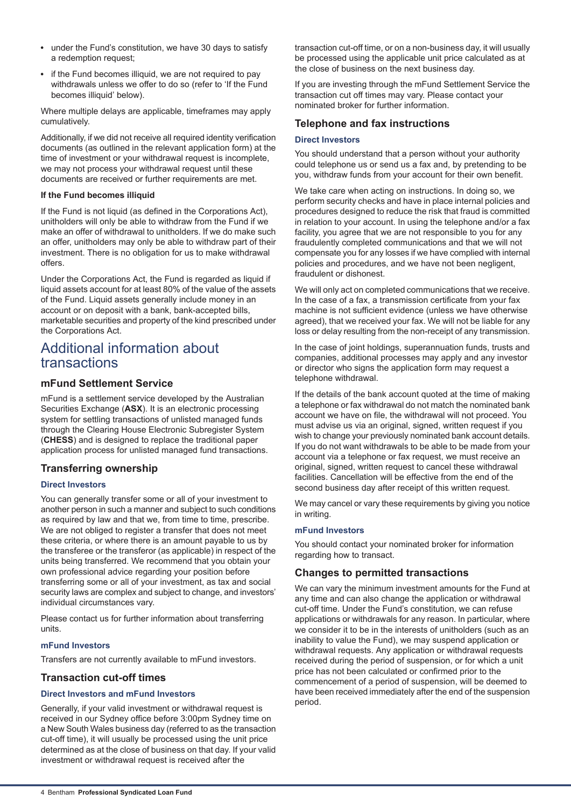- under the Fund's constitution, we have 30 days to satisfy a redemption request;
- if the Fund becomes illiquid, we are not required to pay withdrawals unless we offer to do so (refer to 'If the Fund becomes illiquid' below).

Where multiple delays are applicable, timeframes may apply cumulatively.

Additionally, if we did not receive all required identity verification documents (as outlined in the relevant application form) at the time of investment or your withdrawal request is incomplete, we may not process your withdrawal request until these documents are received or further requirements are met.

## **If the Fund becomes illiquid**

If the Fund is not liquid (as defined in the Corporations Act), unitholders will only be able to withdraw from the Fund if we make an offer of withdrawal to unitholders. If we do make such an offer, unitholders may only be able to withdraw part of their investment. There is no obligation for us to make withdrawal offers.

Under the Corporations Act, the Fund is regarded as liquid if liquid assets account for at least 80% of the value of the assets of the Fund. Liquid assets generally include money in an account or on deposit with a bank, bank-accepted bills, marketable securities and property of the kind prescribed under the Corporations Act.

## <span id="page-3-0"></span>Additional information about transactions

## **mFund Settlement Service**

mFund is a settlement service developed by the Australian Securities Exchange (**ASX**). It is an electronic processing system for settling transactions of unlisted managed funds through the Clearing House Electronic Subregister System (**CHESS**) and is designed to replace the traditional paper application process for unlisted managed fund transactions.

## **Transferring ownership**

## **Direct Investors**

You can generally transfer some or all of your investment to another person in such a manner and subject to such conditions as required by law and that we, from time to time, prescribe. We are not obliged to register a transfer that does not meet these criteria, or where there is an amount payable to us by the transferee or the transferor (as applicable) in respect of the units being transferred. We recommend that you obtain your own professional advice regarding your position before transferring some or all of your investment, as tax and social security laws are complex and subject to change, and investors' individual circumstances vary.

Please contact us for further information about transferring units.

#### **mFund Investors**

Transfers are not currently available to mFund investors.

## **Transaction cut-off times**

## **Direct Investors and mFund Investors**

Generally, if your valid investment or withdrawal request is received in our Sydney office before 3:00pm Sydney time on a New South Wales business day (referred to as the transaction cut-off time), it will usually be processed using the unit price determined as at the close of business on that day. If your valid investment or withdrawal request is received after the

transaction cut-off time, or on a non-business day, it will usually be processed using the applicable unit price calculated as at the close of business on the next business day.

If you are investing through the mFund Settlement Service the transaction cut off times may vary. Please contact your nominated broker for further information.

## **Telephone and fax instructions**

#### **Direct Investors**

You should understand that a person without your authority could telephone us or send us a fax and, by pretending to be you, withdraw funds from your account for their own benefit.

We take care when acting on instructions. In doing so, we perform security checks and have in place internal policies and procedures designed to reduce the risk that fraud is committed in relation to your account. In using the telephone and/or a fax facility, you agree that we are not responsible to you for any fraudulently completed communications and that we will not compensate you for any losses if we have complied with internal policies and procedures, and we have not been negligent, fraudulent or dishonest.

We will only act on completed communications that we receive. In the case of a fax, a transmission certificate from your fax machine is not sufficient evidence (unless we have otherwise agreed), that we received your fax. We will not be liable for any loss or delay resulting from the non-receipt of any transmission.

In the case of joint holdings, superannuation funds, trusts and companies, additional processes may apply and any investor or director who signs the application form may request a telephone withdrawal.

If the details of the bank account quoted at the time of making a telephone or fax withdrawal do not match the nominated bank account we have on file, the withdrawal will not proceed. You must advise us via an original, signed, written request if you wish to change your previously nominated bank account details. If you do not want withdrawals to be able to be made from your account via a telephone or fax request, we must receive an original, signed, written request to cancel these withdrawal facilities. Cancellation will be effective from the end of the second business day after receipt of this written request.

We may cancel or vary these requirements by giving you notice in writing.

#### **mFund Investors**

You should contact your nominated broker for information regarding how to transact.

## **Changes to permitted transactions**

We can vary the minimum investment amounts for the Fund at any time and can also change the application or withdrawal cut-off time. Under the Fund's constitution, we can refuse applications or withdrawals for any reason. In particular, where we consider it to be in the interests of unitholders (such as an inability to value the Fund), we may suspend application or withdrawal requests. Any application or withdrawal requests received during the period of suspension, or for which a unit price has not been calculated or confirmed prior to the commencement of a period of suspension, will be deemed to have been received immediately after the end of the suspension period.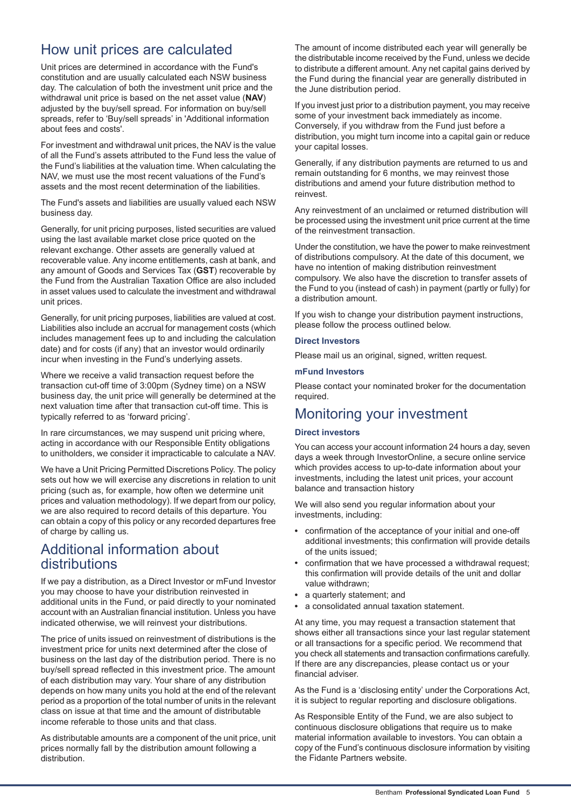# <span id="page-4-0"></span>How unit prices are calculated

Unit prices are determined in accordance with the Fund's constitution and are usually calculated each NSW business day. The calculation of both the investment unit price and the withdrawal unit price is based on the net asset value (**NAV**) adjusted by the buy/sell spread. For information on buy/sell spreads, refer to 'Buy/sell spreads' in 'Additional information about fees and costs'.

For investment and withdrawal unit prices, the NAV is the value of all the Fund's assets attributed to the Fund less the value of the Fund's liabilities at the valuation time. When calculating the NAV, we must use the most recent valuations of the Fund's assets and the most recent determination of the liabilities.

The Fund's assets and liabilities are usually valued each NSW business day.

Generally, for unit pricing purposes, listed securities are valued using the last available market close price quoted on the relevant exchange. Other assets are generally valued at recoverable value. Any income entitlements, cash at bank, and any amount of Goods and Services Tax (**GST**) recoverable by the Fund from the Australian Taxation Office are also included in asset values used to calculate the investment and withdrawal unit prices.

Generally, for unit pricing purposes, liabilities are valued at cost. Liabilities also include an accrual for management costs (which includes management fees up to and including the calculation date) and for costs (if any) that an investor would ordinarily incur when investing in the Fund's underlying assets.

Where we receive a valid transaction request before the transaction cut-off time of 3:00pm (Sydney time) on a NSW business day, the unit price will generally be determined at the next valuation time after that transaction cut-off time. This is typically referred to as 'forward pricing'.

In rare circumstances, we may suspend unit pricing where, acting in accordance with our Responsible Entity obligations to unitholders, we consider it impracticable to calculate a NAV.

<span id="page-4-1"></span>We have a Unit Pricing Permitted Discretions Policy. The policy sets out how we will exercise any discretions in relation to unit pricing (such as, for example, how often we determine unit prices and valuation methodology). If we depart from our policy, we are also required to record details of this departure. You can obtain a copy of this policy or any recorded departures free of charge by calling us.

# Additional information about distributions

If we pay a distribution, as a Direct Investor or mFund Investor you may choose to have your distribution reinvested in additional units in the Fund, or paid directly to your nominated account with an Australian financial institution. Unless you have indicated otherwise, we will reinvest your distributions.

The price of units issued on reinvestment of distributions is the investment price for units next determined after the close of business on the last day of the distribution period. There is no buy/sell spread reflected in this investment price. The amount of each distribution may vary. Your share of any distribution depends on how many units you hold at the end of the relevant period as a proportion of the total number of units in the relevant class on issue at that time and the amount of distributable income referable to those units and that class.

As distributable amounts are a component of the unit price, unit prices normally fall by the distribution amount following a distribution.

The amount of income distributed each year will generally be the distributable income received by the Fund, unless we decide to distribute a different amount. Any net capital gains derived by the Fund during the financial year are generally distributed in the June distribution period.

If you invest just prior to a distribution payment, you may receive some of your investment back immediately as income. Conversely, if you withdraw from the Fund just before a distribution, you might turn income into a capital gain or reduce your capital losses.

Generally, if any distribution payments are returned to us and remain outstanding for 6 months, we may reinvest those distributions and amend your future distribution method to reinvest.

Any reinvestment of an unclaimed or returned distribution will be processed using the investment unit price current at the time of the reinvestment transaction.

Under the constitution, we have the power to make reinvestment of distributions compulsory. At the date of this document, we have no intention of making distribution reinvestment compulsory. We also have the discretion to transfer assets of the Fund to you (instead of cash) in payment (partly or fully) for a distribution amount.

If you wish to change your distribution payment instructions, please follow the process outlined below.

### **Direct Investors**

Please mail us an original, signed, written request.

#### <span id="page-4-2"></span>**mFund Investors**

Please contact your nominated broker for the documentation required.

# Monitoring your investment

## **Direct investors**

You can access your account information 24 hours a day, seven days a week through InvestorOnline, a secure online service which provides access to up-to-date information about your investments, including the latest unit prices, your account balance and transaction history

We will also send you regular information about your investments, including:

- confirmation of the acceptance of your initial and one-off additional investments; this confirmation will provide details of the units issued;
- confirmation that we have processed a withdrawal request; this confirmation will provide details of the unit and dollar value withdrawn;
- a quarterly statement: and
- a consolidated annual taxation statement.

At any time, you may request a transaction statement that shows either all transactions since your last regular statement or all transactions for a specific period. We recommend that you check all statements and transaction confirmations carefully. If there are any discrepancies, please contact us or your financial adviser.

As the Fund is a 'disclosing entity' under the Corporations Act, it is subject to regular reporting and disclosure obligations.

As Responsible Entity of the Fund, we are also subject to continuous disclosure obligations that require us to make material information available to investors. You can obtain a copy of the Fund's continuous disclosure information by visiting the Fidante Partners website.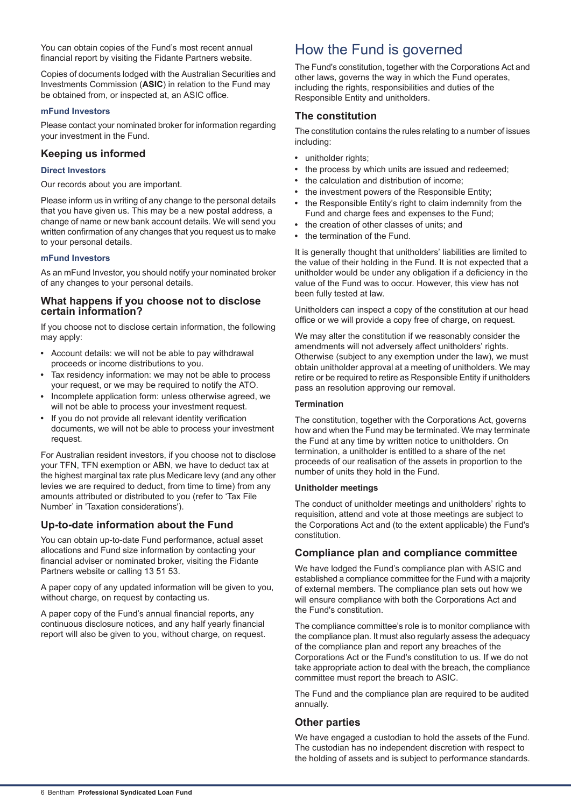You can obtain copies of the Fund's most recent annual financial report by visiting the Fidante Partners website.

Copies of documents lodged with the Australian Securities and Investments Commission (**ASIC**) in relation to the Fund may be obtained from, or inspected at, an ASIC office.

### **mFund Investors**

Please contact your nominated broker for information regarding your investment in the Fund.

## **Keeping us informed**

## **Direct Investors**

Our records about you are important.

Please inform us in writing of any change to the personal details that you have given us. This may be a new postal address, a change of name or new bank account details. We will send you written confirmation of any changes that you request us to make to your personal details.

#### **mFund Investors**

As an mFund Investor, you should notify your nominated broker of any changes to your personal details.

## **What happens if you choose not to disclose certain information?**

If you choose not to disclose certain information, the following may apply:

- Account details: we will not be able to pay withdrawal proceeds or income distributions to you.
- Tax residency information: we may not be able to process your request, or we may be required to notify the ATO.
- Incomplete application form: unless otherwise agreed, we will not be able to process your investment request.
- If you do not provide all relevant identity verification documents, we will not be able to process your investment request

For Australian resident investors, if you choose not to disclose your TFN, TFN exemption or ABN, we have to deduct tax at the highest marginal tax rate plus Medicare levy (and any other levies we are required to deduct, from time to time) from any amounts attributed or distributed to you (refer to 'Tax File Number' in 'Taxation considerations').

## **Up-to-date information about the Fund**

You can obtain up-to-date Fund performance, actual asset allocations and Fund size information by contacting your financial adviser or nominated broker, visiting the Fidante Partners website or calling 13 51 53.

A paper copy of any updated information will be given to you, without charge, on request by contacting us.

A paper copy of the Fund's annual financial reports, any continuous disclosure notices, and any half yearly financial report will also be given to you, without charge, on request.

# <span id="page-5-0"></span>How the Fund is governed

The Fund's constitution, together with the Corporations Act and other laws, governs the way in which the Fund operates, including the rights, responsibilities and duties of the Responsible Entity and unitholders.

## **The constitution**

The constitution contains the rules relating to a number of issues including:

- unitholder rights;
- the process by which units are issued and redeemed;  $\bullet$
- the calculation and distribution of income;
- the investment powers of the Responsible Entity;
- the Responsible Entity's right to claim indemnity from the Fund and charge fees and expenses to the Fund;
- the creation of other classes of units; and
- the termination of the Fund.

It is generally thought that unitholders' liabilities are limited to the value of their holding in the Fund. It is not expected that a unitholder would be under any obligation if a deficiency in the value of the Fund was to occur. However, this view has not been fully tested at law.

Unitholders can inspect a copy of the constitution at our head office or we will provide a copy free of charge, on request.

We may alter the constitution if we reasonably consider the amendments will not adversely affect unitholders' rights. Otherwise (subject to any exemption under the law), we must obtain unitholder approval at a meeting of unitholders. We may retire or be required to retire as Responsible Entity if unitholders pass an resolution approving our removal.

### **Termination**

The constitution, together with the Corporations Act, governs how and when the Fund may be terminated. We may terminate the Fund at any time by written notice to unitholders. On termination, a unitholder is entitled to a share of the net proceeds of our realisation of the assets in proportion to the number of units they hold in the Fund.

#### **Unitholder meetings**

The conduct of unitholder meetings and unitholders' rights to requisition, attend and vote at those meetings are subject to the Corporations Act and (to the extent applicable) the Fund's constitution.

## **Compliance plan and compliance committee**

We have lodged the Fund's compliance plan with ASIC and established a compliance committee for the Fund with a majority of external members. The compliance plan sets out how we will ensure compliance with both the Corporations Act and the Fund's constitution.

The compliance committee's role is to monitor compliance with the compliance plan. It must also regularly assess the adequacy of the compliance plan and report any breaches of the Corporations Act or the Fund's constitution to us. If we do not take appropriate action to deal with the breach, the compliance committee must report the breach to ASIC.

The Fund and the compliance plan are required to be audited annually.

## **Other parties**

We have engaged a custodian to hold the assets of the Fund. The custodian has no independent discretion with respect to the holding of assets and is subject to performance standards.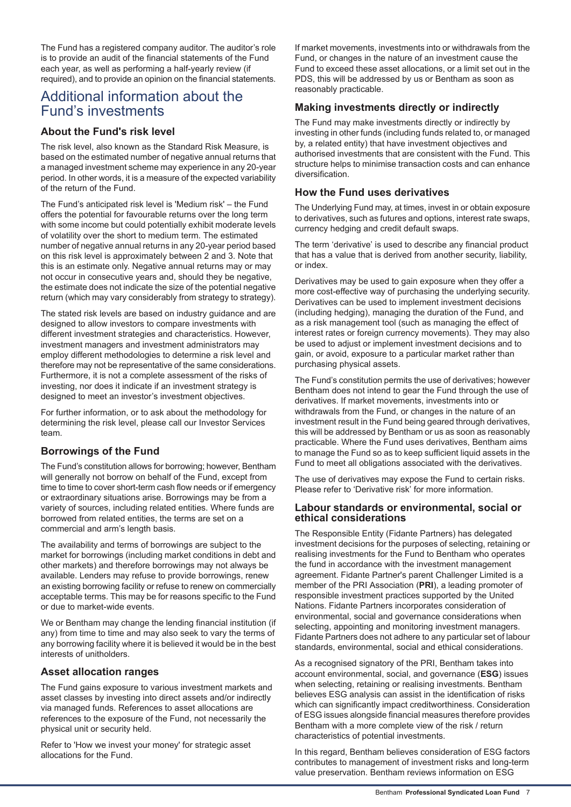The Fund has a registered company auditor. The auditor's role is to provide an audit of the financial statements of the Fund each year, as well as performing a half-yearly review (if required), and to provide an opinion on the financial statements.

## <span id="page-6-0"></span>Additional information about the Fund's investments

## **About the Fund's risk level**

The risk level, also known as the Standard Risk Measure, is based on the estimated number of negative annual returns that a managed investment scheme may experience in any 20-year period. In other words, it is a measure of the expected variability of the return of the Fund.

The Fund's anticipated risk level is 'Medium risk' – the Fund offers the potential for favourable returns over the long term with some income but could potentially exhibit moderate levels of volatility over the short to medium term. The estimated number of negative annual returns in any 20-year period based on this risk level is approximately between 2 and 3. Note that this is an estimate only. Negative annual returns may or may not occur in consecutive years and, should they be negative, the estimate does not indicate the size of the potential negative return (which may vary considerably from strategy to strategy).

The stated risk levels are based on industry guidance and are designed to allow investors to compare investments with different investment strategies and characteristics. However, investment managers and investment administrators may employ different methodologies to determine a risk level and therefore may not be representative of the same considerations. Furthermore, it is not a complete assessment of the risks of investing, nor does it indicate if an investment strategy is designed to meet an investor's investment objectives.

For further information, or to ask about the methodology for determining the risk level, please call our Investor Services team.

## **Borrowings of the Fund**

The Fund's constitution allows for borrowing; however, Bentham will generally not borrow on behalf of the Fund, except from time to time to cover short-term cash flow needs or if emergency or extraordinary situations arise. Borrowings may be from a variety of sources, including related entities. Where funds are borrowed from related entities, the terms are set on a commercial and arm's length basis.

The availability and terms of borrowings are subject to the market for borrowings (including market conditions in debt and other markets) and therefore borrowings may not always be available. Lenders may refuse to provide borrowings, renew an existing borrowing facility or refuse to renew on commercially acceptable terms. This may be for reasons specific to the Fund or due to market-wide events.

We or Bentham may change the lending financial institution (if any) from time to time and may also seek to vary the terms of any borrowing facility where it is believed it would be in the best interests of unitholders.

## **Asset allocation ranges**

The Fund gains exposure to various investment markets and asset classes by investing into direct assets and/or indirectly via managed funds. References to asset allocations are references to the exposure of the Fund, not necessarily the physical unit or security held.

Refer to 'How we invest your money' for strategic asset allocations for the Fund.

If market movements, investments into or withdrawals from the Fund, or changes in the nature of an investment cause the Fund to exceed these asset allocations, or a limit set out in the PDS, this will be addressed by us or Bentham as soon as reasonably practicable.

## **Making investments directly or indirectly**

The Fund may make investments directly or indirectly by investing in other funds (including funds related to, or managed by, a related entity) that have investment objectives and authorised investments that are consistent with the Fund. This structure helps to minimise transaction costs and can enhance diversification.

## **How the Fund uses derivatives**

The Underlying Fund may, at times, invest in or obtain exposure to derivatives, such as futures and options, interest rate swaps, currency hedging and credit default swaps.

The term 'derivative' is used to describe any financial product that has a value that is derived from another security, liability, or index.

Derivatives may be used to gain exposure when they offer a more cost-effective way of purchasing the underlying security. Derivatives can be used to implement investment decisions (including hedging), managing the duration of the Fund, and as a risk management tool (such as managing the effect of interest rates or foreign currency movements). They may also be used to adjust or implement investment decisions and to gain, or avoid, exposure to a particular market rather than purchasing physical assets.

The Fund's constitution permits the use of derivatives; however Bentham does not intend to gear the Fund through the use of derivatives. If market movements, investments into or withdrawals from the Fund, or changes in the nature of an investment result in the Fund being geared through derivatives, this will be addressed by Bentham or us as soon as reasonably practicable. Where the Fund uses derivatives, Bentham aims to manage the Fund so as to keep sufficient liquid assets in the Fund to meet all obligations associated with the derivatives.

The use of derivatives may expose the Fund to certain risks. Please refer to 'Derivative risk' for more information.

## **Labour standards or environmental, social or ethical considerations**

The Responsible Entity (Fidante Partners) has delegated investment decisions for the purposes of selecting, retaining or realising investments for the Fund to Bentham who operates the fund in accordance with the investment management agreement. Fidante Partner's parent Challenger Limited is a member of the PRI Association (**PRI**), a leading promoter of responsible investment practices supported by the United Nations. Fidante Partners incorporates consideration of environmental, social and governance considerations when selecting, appointing and monitoring investment managers. Fidante Partners does not adhere to any particular set of labour standards, environmental, social and ethical considerations.

As a recognised signatory of the PRI, Bentham takes into account environmental, social, and governance (**ESG**) issues when selecting, retaining or realising investments. Bentham believes ESG analysis can assist in the identification of risks which can significantly impact creditworthiness. Consideration of ESG issues alongside financial measures therefore provides Bentham with a more complete view of the risk / return characteristics of potential investments.

In this regard, Bentham believes consideration of ESG factors contributes to management of investment risks and long-term value preservation. Bentham reviews information on ESG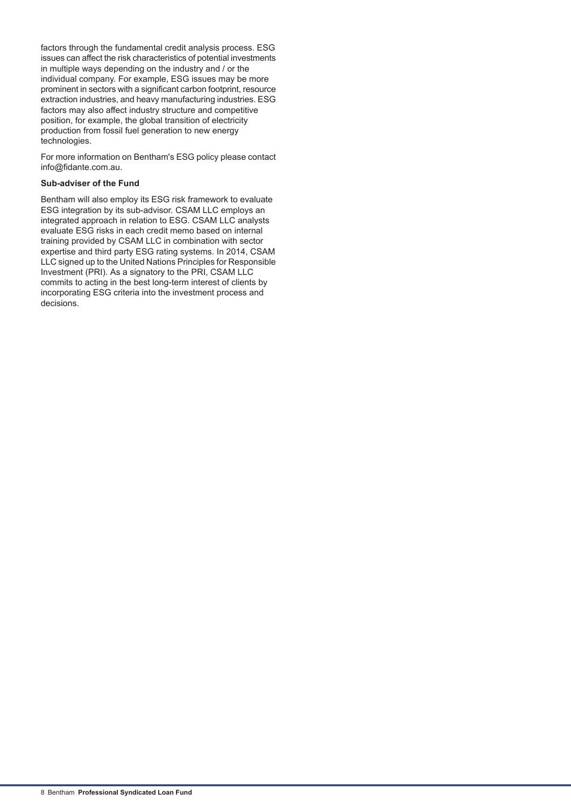factors through the fundamental credit analysis process. ESG issues can affect the risk characteristics of potential investments in multiple ways depending on the industry and / or the individual company. For example, ESG issues may be more prominent in sectors with a significant carbon footprint, resource extraction industries, and heavy manufacturing industries. ESG factors may also affect industry structure and competitive position, for example, the global transition of electricity production from fossil fuel generation to new energy technologies.

For more information on Bentham's ESG policy please contact info@fidante.com.au.

## **Sub-adviser of the Fund**

Bentham will also employ its ESG risk framework to evaluate ESG integration by its sub-advisor. CSAM LLC employs an integrated approach in relation to ESG. CSAM LLC analysts evaluate ESG risks in each credit memo based on internal training provided by CSAM LLC in combination with sector expertise and third party ESG rating systems. In 2014, CSAM LLC signed up to the United Nations Principles for Responsible Investment (PRI). As a signatory to the PRI, CSAM LLC commits to acting in the best long-term interest of clients by incorporating ESG criteria into the investment process and decisions.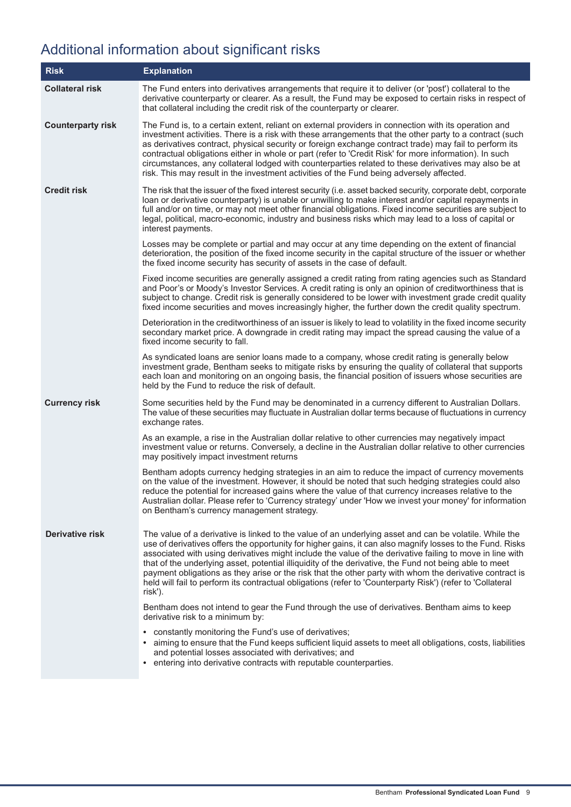# <span id="page-8-0"></span>Additional information about significant risks

| <b>Risk</b>              | <b>Explanation</b>                                                                                                                                                                                                                                                                                                                                                                                                                                                                                                                                                                                                                                                            |
|--------------------------|-------------------------------------------------------------------------------------------------------------------------------------------------------------------------------------------------------------------------------------------------------------------------------------------------------------------------------------------------------------------------------------------------------------------------------------------------------------------------------------------------------------------------------------------------------------------------------------------------------------------------------------------------------------------------------|
| <b>Collateral risk</b>   | The Fund enters into derivatives arrangements that require it to deliver (or 'post') collateral to the<br>derivative counterparty or clearer. As a result, the Fund may be exposed to certain risks in respect of<br>that collateral including the credit risk of the counterparty or clearer.                                                                                                                                                                                                                                                                                                                                                                                |
| <b>Counterparty risk</b> | The Fund is, to a certain extent, reliant on external providers in connection with its operation and<br>investment activities. There is a risk with these arrangements that the other party to a contract (such<br>as derivatives contract, physical security or foreign exchange contract trade) may fail to perform its<br>contractual obligations either in whole or part (refer to 'Credit Risk' for more information). In such<br>circumstances, any collateral lodged with counterparties related to these derivatives may also be at<br>risk. This may result in the investment activities of the Fund being adversely affected.                                       |
| <b>Credit risk</b>       | The risk that the issuer of the fixed interest security (i.e. asset backed security, corporate debt, corporate<br>loan or derivative counterparty) is unable or unwilling to make interest and/or capital repayments in<br>full and/or on time, or may not meet other financial obligations. Fixed income securities are subject to<br>legal, political, macro-economic, industry and business risks which may lead to a loss of capital or<br>interest payments.                                                                                                                                                                                                             |
|                          | Losses may be complete or partial and may occur at any time depending on the extent of financial<br>deterioration, the position of the fixed income security in the capital structure of the issuer or whether<br>the fixed income security has security of assets in the case of default.                                                                                                                                                                                                                                                                                                                                                                                    |
|                          | Fixed income securities are generally assigned a credit rating from rating agencies such as Standard<br>and Poor's or Moody's Investor Services. A credit rating is only an opinion of creditworthiness that is<br>subject to change. Credit risk is generally considered to be lower with investment grade credit quality<br>fixed income securities and moves increasingly higher, the further down the credit quality spectrum.                                                                                                                                                                                                                                            |
|                          | Deterioration in the creditworthiness of an issuer is likely to lead to volatility in the fixed income security<br>secondary market price. A downgrade in credit rating may impact the spread causing the value of a<br>fixed income security to fall.                                                                                                                                                                                                                                                                                                                                                                                                                        |
|                          | As syndicated loans are senior loans made to a company, whose credit rating is generally below<br>investment grade, Bentham seeks to mitigate risks by ensuring the quality of collateral that supports<br>each loan and monitoring on an ongoing basis, the financial position of issuers whose securities are<br>held by the Fund to reduce the risk of default.                                                                                                                                                                                                                                                                                                            |
| <b>Currency risk</b>     | Some securities held by the Fund may be denominated in a currency different to Australian Dollars.<br>The value of these securities may fluctuate in Australian dollar terms because of fluctuations in currency<br>exchange rates.                                                                                                                                                                                                                                                                                                                                                                                                                                           |
|                          | As an example, a rise in the Australian dollar relative to other currencies may negatively impact<br>investment value or returns. Conversely, a decline in the Australian dollar relative to other currencies<br>may positively impact investment returns                                                                                                                                                                                                                                                                                                                                                                                                                     |
|                          | Bentham adopts currency hedging strategies in an aim to reduce the impact of currency movements<br>on the value of the investment. However, it should be noted that such hedging strategies could also<br>reduce the potential for increased gains where the value of that currency increases relative to the<br>Australian dollar. Please refer to 'Currency strategy' under 'How we invest your money' for information<br>on Bentham's currency management strategy.                                                                                                                                                                                                        |
| <b>Derivative risk</b>   | The value of a derivative is linked to the value of an underlying asset and can be volatile. While the<br>use of derivatives offers the opportunity for higher gains, it can also magnify losses to the Fund. Risks<br>associated with using derivatives might include the value of the derivative failing to move in line with<br>that of the underlying asset, potential illiquidity of the derivative, the Fund not being able to meet<br>payment obligations as they arise or the risk that the other party with whom the derivative contract is<br>held will fail to perform its contractual obligations (refer to 'Counterparty Risk') (refer to 'Collateral<br>risk'). |
|                          | Bentham does not intend to gear the Fund through the use of derivatives. Bentham aims to keep<br>derivative risk to a minimum by:                                                                                                                                                                                                                                                                                                                                                                                                                                                                                                                                             |
|                          | • constantly monitoring the Fund's use of derivatives;<br>• aiming to ensure that the Fund keeps sufficient liquid assets to meet all obligations, costs, liabilities<br>and potential losses associated with derivatives; and<br>entering into derivative contracts with reputable counterparties.                                                                                                                                                                                                                                                                                                                                                                           |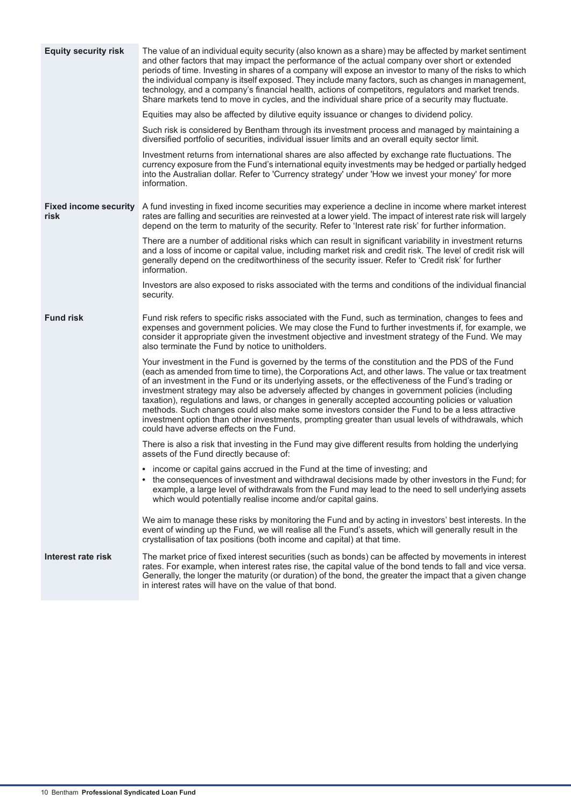| <b>Equity security risk</b>          | The value of an individual equity security (also known as a share) may be affected by market sentiment<br>and other factors that may impact the performance of the actual company over short or extended<br>periods of time. Investing in shares of a company will expose an investor to many of the risks to which<br>the individual company is itself exposed. They include many factors, such as changes in management,<br>technology, and a company's financial health, actions of competitors, regulators and market trends.<br>Share markets tend to move in cycles, and the individual share price of a security may fluctuate.                                                                                                                                         |
|--------------------------------------|--------------------------------------------------------------------------------------------------------------------------------------------------------------------------------------------------------------------------------------------------------------------------------------------------------------------------------------------------------------------------------------------------------------------------------------------------------------------------------------------------------------------------------------------------------------------------------------------------------------------------------------------------------------------------------------------------------------------------------------------------------------------------------|
|                                      | Equities may also be affected by dilutive equity issuance or changes to dividend policy.                                                                                                                                                                                                                                                                                                                                                                                                                                                                                                                                                                                                                                                                                       |
|                                      | Such risk is considered by Bentham through its investment process and managed by maintaining a<br>diversified portfolio of securities, individual issuer limits and an overall equity sector limit.                                                                                                                                                                                                                                                                                                                                                                                                                                                                                                                                                                            |
|                                      | Investment returns from international shares are also affected by exchange rate fluctuations. The<br>currency exposure from the Fund's international equity investments may be hedged or partially hedged<br>into the Australian dollar. Refer to 'Currency strategy' under 'How we invest your money' for more<br>information.                                                                                                                                                                                                                                                                                                                                                                                                                                                |
| <b>Fixed income security</b><br>risk | A fund investing in fixed income securities may experience a decline in income where market interest<br>rates are falling and securities are reinvested at a lower yield. The impact of interest rate risk will largely<br>depend on the term to maturity of the security. Refer to 'Interest rate risk' for further information.                                                                                                                                                                                                                                                                                                                                                                                                                                              |
|                                      | There are a number of additional risks which can result in significant variability in investment returns<br>and a loss of income or capital value, including market risk and credit risk. The level of credit risk will<br>generally depend on the creditworthiness of the security issuer. Refer to 'Credit risk' for further<br>information.                                                                                                                                                                                                                                                                                                                                                                                                                                 |
|                                      | Investors are also exposed to risks associated with the terms and conditions of the individual financial<br>security.                                                                                                                                                                                                                                                                                                                                                                                                                                                                                                                                                                                                                                                          |
| <b>Fund risk</b>                     | Fund risk refers to specific risks associated with the Fund, such as termination, changes to fees and<br>expenses and government policies. We may close the Fund to further investments if, for example, we<br>consider it appropriate given the investment objective and investment strategy of the Fund. We may<br>also terminate the Fund by notice to unitholders.                                                                                                                                                                                                                                                                                                                                                                                                         |
|                                      | Your investment in the Fund is governed by the terms of the constitution and the PDS of the Fund<br>(each as amended from time to time), the Corporations Act, and other laws. The value or tax treatment<br>of an investment in the Fund or its underlying assets, or the effectiveness of the Fund's trading or<br>investment strategy may also be adversely affected by changes in government policies (including<br>taxation), regulations and laws, or changes in generally accepted accounting policies or valuation<br>methods. Such changes could also make some investors consider the Fund to be a less attractive<br>investment option than other investments, prompting greater than usual levels of withdrawals, which<br>could have adverse effects on the Fund. |
|                                      | There is also a risk that investing in the Fund may give different results from holding the underlying<br>assets of the Fund directly because of:                                                                                                                                                                                                                                                                                                                                                                                                                                                                                                                                                                                                                              |
|                                      | • income or capital gains accrued in the Fund at the time of investing; and<br>the consequences of investment and withdrawal decisions made by other investors in the Fund; for<br>example, a large level of withdrawals from the Fund may lead to the need to sell underlying assets<br>which would potentially realise income and/or capital gains.                                                                                                                                                                                                                                                                                                                                                                                                                          |
|                                      | We aim to manage these risks by monitoring the Fund and by acting in investors' best interests. In the<br>event of winding up the Fund, we will realise all the Fund's assets, which will generally result in the<br>crystallisation of tax positions (both income and capital) at that time.                                                                                                                                                                                                                                                                                                                                                                                                                                                                                  |
| Interest rate risk                   | The market price of fixed interest securities (such as bonds) can be affected by movements in interest<br>rates. For example, when interest rates rise, the capital value of the bond tends to fall and vice versa.<br>Generally, the longer the maturity (or duration) of the bond, the greater the impact that a given change<br>in interest rates will have on the value of that bond.                                                                                                                                                                                                                                                                                                                                                                                      |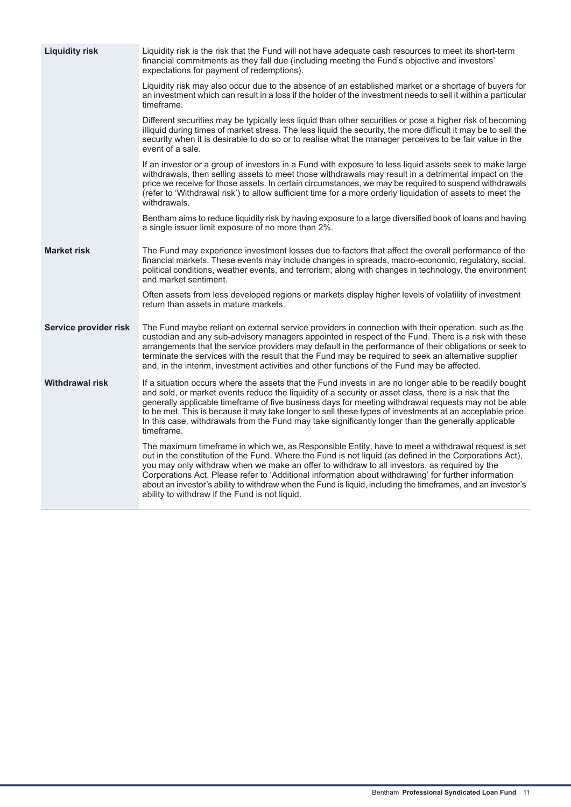| <b>Liquidity risk</b>  | Liquidity risk is the risk that the Fund will not have adequate cash resources to meet its short-term<br>financial commitments as they fall due (including meeting the Fund's objective and investors'<br>expectations for payment of redemptions).                                                                                                                                                                                                                                                                                                                                     |
|------------------------|-----------------------------------------------------------------------------------------------------------------------------------------------------------------------------------------------------------------------------------------------------------------------------------------------------------------------------------------------------------------------------------------------------------------------------------------------------------------------------------------------------------------------------------------------------------------------------------------|
|                        | Liquidity risk may also occur due to the absence of an established market or a shortage of buyers for<br>an investment which can result in a loss if the holder of the investment needs to sell it within a particular<br>timeframe.                                                                                                                                                                                                                                                                                                                                                    |
|                        | Different securities may be typically less liquid than other securities or pose a higher risk of becoming<br>illiquid during times of market stress. The less liquid the security, the more difficult it may be to sell the<br>security when it is desirable to do so or to realise what the manager perceives to be fair value in the<br>event of a sale.                                                                                                                                                                                                                              |
|                        | If an investor or a group of investors in a Fund with exposure to less liquid assets seek to make large<br>withdrawals, then selling assets to meet those withdrawals may result in a detrimental impact on the<br>price we receive for those assets. In certain circumstances, we may be required to suspend withdrawals<br>(refer to 'Withdrawal risk') to allow sufficient time for a more orderly liquidation of assets to meet the<br>withdrawals.                                                                                                                                 |
|                        | Bentham aims to reduce liquidity risk by having exposure to a large diversified book of loans and having<br>a single issuer limit exposure of no more than 2%.                                                                                                                                                                                                                                                                                                                                                                                                                          |
| <b>Market risk</b>     | The Fund may experience investment losses due to factors that affect the overall performance of the<br>financial markets. These events may include changes in spreads, macro-economic, regulatory, social,<br>political conditions, weather events, and terrorism; along with changes in technology, the environment<br>and market sentiment.                                                                                                                                                                                                                                           |
|                        | Often assets from less developed regions or markets display higher levels of volatility of investment<br>return than assets in mature markets.                                                                                                                                                                                                                                                                                                                                                                                                                                          |
| Service provider risk  | The Fund maybe reliant on external service providers in connection with their operation, such as the<br>custodian and any sub-advisory managers appointed in respect of the Fund. There is a risk with these<br>arrangements that the service providers may default in the performance of their obligations or seek to<br>terminate the services with the result that the Fund may be required to seek an alternative supplier<br>and, in the interim, investment activities and other functions of the Fund may be affected.                                                           |
| <b>Withdrawal risk</b> | If a situation occurs where the assets that the Fund invests in are no longer able to be readily bought<br>and sold, or market events reduce the liquidity of a security or asset class, there is a risk that the<br>generally applicable timeframe of five business days for meeting withdrawal requests may not be able<br>to be met. This is because it may take longer to sell these types of investments at an acceptable price.<br>In this case, withdrawals from the Fund may take significantly longer than the generally applicable<br>timeframe.                              |
|                        | The maximum timeframe in which we, as Responsible Entity, have to meet a withdrawal request is set<br>out in the constitution of the Fund. Where the Fund is not liquid (as defined in the Corporations Act),<br>you may only withdraw when we make an offer to withdraw to all investors, as required by the<br>Corporations Act. Please refer to 'Additional information about withdrawing' for further information<br>about an investor's ability to withdraw when the Fund is liquid, including the timeframes, and an investor's<br>ability to withdraw if the Fund is not liquid. |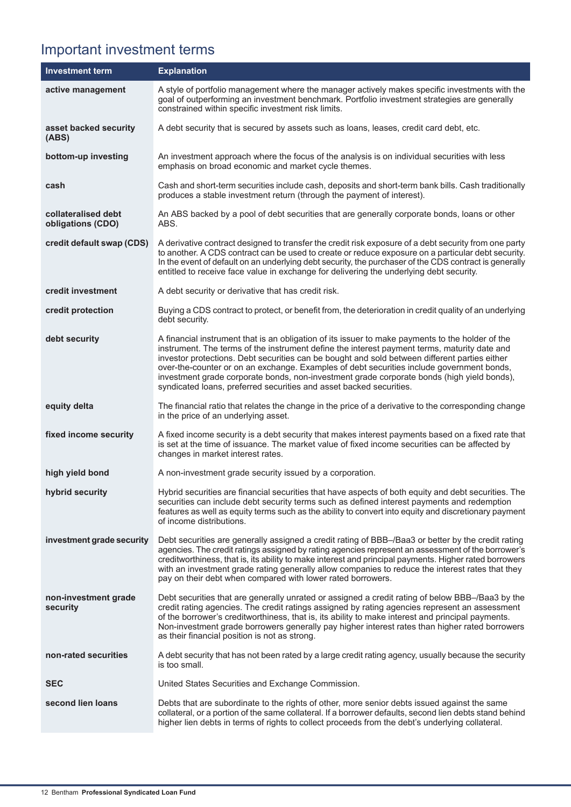# <span id="page-11-0"></span>Important investment terms

| <b>Investment term</b>                   | <b>Explanation</b>                                                                                                                                                                                                                                                                                                                                                                                                                                                                                                                                                  |
|------------------------------------------|---------------------------------------------------------------------------------------------------------------------------------------------------------------------------------------------------------------------------------------------------------------------------------------------------------------------------------------------------------------------------------------------------------------------------------------------------------------------------------------------------------------------------------------------------------------------|
| active management                        | A style of portfolio management where the manager actively makes specific investments with the<br>goal of outperforming an investment benchmark. Portfolio investment strategies are generally<br>constrained within specific investment risk limits.                                                                                                                                                                                                                                                                                                               |
| asset backed security<br>(ABS)           | A debt security that is secured by assets such as loans, leases, credit card debt, etc.                                                                                                                                                                                                                                                                                                                                                                                                                                                                             |
| bottom-up investing                      | An investment approach where the focus of the analysis is on individual securities with less<br>emphasis on broad economic and market cycle themes.                                                                                                                                                                                                                                                                                                                                                                                                                 |
| cash                                     | Cash and short-term securities include cash, deposits and short-term bank bills. Cash traditionally<br>produces a stable investment return (through the payment of interest).                                                                                                                                                                                                                                                                                                                                                                                       |
| collateralised debt<br>obligations (CDO) | An ABS backed by a pool of debt securities that are generally corporate bonds, loans or other<br>ABS.                                                                                                                                                                                                                                                                                                                                                                                                                                                               |
| credit default swap (CDS)                | A derivative contract designed to transfer the credit risk exposure of a debt security from one party<br>to another. A CDS contract can be used to create or reduce exposure on a particular debt security.<br>In the event of default on an underlying debt security, the purchaser of the CDS contract is generally<br>entitled to receive face value in exchange for delivering the underlying debt security.                                                                                                                                                    |
| credit investment                        | A debt security or derivative that has credit risk.                                                                                                                                                                                                                                                                                                                                                                                                                                                                                                                 |
| credit protection                        | Buying a CDS contract to protect, or benefit from, the deterioration in credit quality of an underlying<br>debt security.                                                                                                                                                                                                                                                                                                                                                                                                                                           |
| debt security                            | A financial instrument that is an obligation of its issuer to make payments to the holder of the<br>instrument. The terms of the instrument define the interest payment terms, maturity date and<br>investor protections. Debt securities can be bought and sold between different parties either<br>over-the-counter or on an exchange. Examples of debt securities include government bonds,<br>investment grade corporate bonds, non-investment grade corporate bonds (high yield bonds),<br>syndicated loans, preferred securities and asset backed securities. |
| equity delta                             | The financial ratio that relates the change in the price of a derivative to the corresponding change<br>in the price of an underlying asset.                                                                                                                                                                                                                                                                                                                                                                                                                        |
| fixed income security                    | A fixed income security is a debt security that makes interest payments based on a fixed rate that<br>is set at the time of issuance. The market value of fixed income securities can be affected by<br>changes in market interest rates.                                                                                                                                                                                                                                                                                                                           |
| high yield bond                          | A non-investment grade security issued by a corporation.                                                                                                                                                                                                                                                                                                                                                                                                                                                                                                            |
| hybrid security                          | Hybrid securities are financial securities that have aspects of both equity and debt securities. The<br>securities can include debt security terms such as defined interest payments and redemption<br>features as well as equity terms such as the ability to convert into equity and discretionary payment<br>of income distributions.                                                                                                                                                                                                                            |
| investment grade security                | Debt securities are generally assigned a credit rating of BBB-/Baa3 or better by the credit rating<br>agencies. The credit ratings assigned by rating agencies represent an assessment of the borrower's<br>creditworthiness, that is, its ability to make interest and principal payments. Higher rated borrowers<br>with an investment grade rating generally allow companies to reduce the interest rates that they<br>pay on their debt when compared with lower rated borrowers.                                                                               |
| non-investment grade<br>security         | Debt securities that are generally unrated or assigned a credit rating of below BBB-/Baa3 by the<br>credit rating agencies. The credit ratings assigned by rating agencies represent an assessment<br>of the borrower's creditworthiness, that is, its ability to make interest and principal payments.<br>Non-investment grade borrowers generally pay higher interest rates than higher rated borrowers<br>as their financial position is not as strong.                                                                                                          |
| non-rated securities                     | A debt security that has not been rated by a large credit rating agency, usually because the security<br>is too small.                                                                                                                                                                                                                                                                                                                                                                                                                                              |
| <b>SEC</b>                               | United States Securities and Exchange Commission.                                                                                                                                                                                                                                                                                                                                                                                                                                                                                                                   |
| second lien loans                        | Debts that are subordinate to the rights of other, more senior debts issued against the same<br>collateral, or a portion of the same collateral. If a borrower defaults, second lien debts stand behind<br>higher lien debts in terms of rights to collect proceeds from the debt's underlying collateral.                                                                                                                                                                                                                                                          |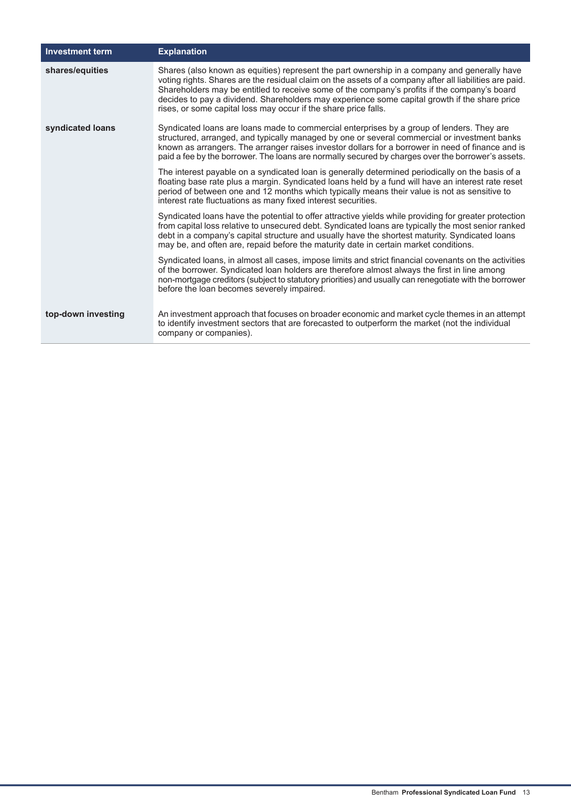| <b>Investment term</b> | <b>Explanation</b>                                                                                                                                                                                                                                                                                                                                                                                                                                                          |
|------------------------|-----------------------------------------------------------------------------------------------------------------------------------------------------------------------------------------------------------------------------------------------------------------------------------------------------------------------------------------------------------------------------------------------------------------------------------------------------------------------------|
| shares/equities        | Shares (also known as equities) represent the part ownership in a company and generally have<br>voting rights. Shares are the residual claim on the assets of a company after all liabilities are paid.<br>Shareholders may be entitled to receive some of the company's profits if the company's board<br>decides to pay a dividend. Shareholders may experience some capital growth if the share price<br>rises, or some capital loss may occur if the share price falls. |
| syndicated loans       | Syndicated loans are loans made to commercial enterprises by a group of lenders. They are<br>structured, arranged, and typically managed by one or several commercial or investment banks<br>known as arrangers. The arranger raises investor dollars for a borrower in need of finance and is<br>paid a fee by the borrower. The loans are normally secured by charges over the borrower's assets.                                                                         |
|                        | The interest payable on a syndicated loan is generally determined periodically on the basis of a<br>floating base rate plus a margin. Syndicated loans held by a fund will have an interest rate reset<br>period of between one and 12 months which typically means their value is not as sensitive to<br>interest rate fluctuations as many fixed interest securities.                                                                                                     |
|                        | Syndicated loans have the potential to offer attractive yields while providing for greater protection<br>from capital loss relative to unsecured debt. Syndicated loans are typically the most senior ranked<br>debt in a company's capital structure and usually have the shortest maturity. Syndicated loans<br>may be, and often are, repaid before the maturity date in certain market conditions.                                                                      |
|                        | Syndicated loans, in almost all cases, impose limits and strict financial covenants on the activities<br>of the borrower. Syndicated loan holders are therefore almost always the first in line among<br>non-mortgage creditors (subject to statutory priorities) and usually can renegotiate with the borrower<br>before the loan becomes severely impaired.                                                                                                               |
| top-down investing     | An investment approach that focuses on broader economic and market cycle themes in an attempt<br>to identify investment sectors that are forecasted to outperform the market (not the individual<br>company or companies).                                                                                                                                                                                                                                                  |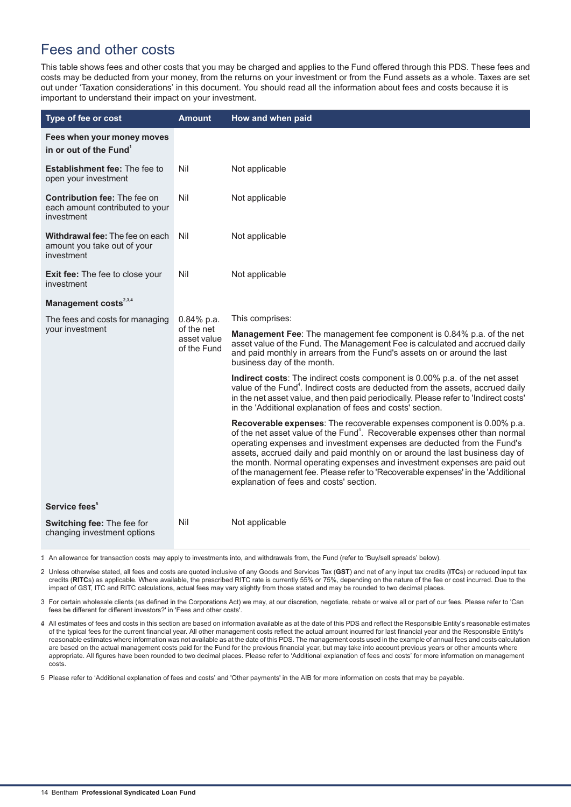# <span id="page-13-0"></span>Fees and other costs

This table shows fees and other costs that you may be charged and applies to the Fund offered through this PDS. These fees and costs may be deducted from your money, from the returns on your investment or from the Fund assets as a whole. Taxes are set out under 'Taxation considerations' in this document. You should read all the information about fees and costs because it is important to understand their impact on your investment.

| Type of fee or cost                                                                  | <b>Amount</b>                                             | How and when paid                                                                                                                                                                                                                                                                                                                                                                                                                                                                                                                         |
|--------------------------------------------------------------------------------------|-----------------------------------------------------------|-------------------------------------------------------------------------------------------------------------------------------------------------------------------------------------------------------------------------------------------------------------------------------------------------------------------------------------------------------------------------------------------------------------------------------------------------------------------------------------------------------------------------------------------|
| Fees when your money moves<br>in or out of the Fund <sup>1</sup>                     |                                                           |                                                                                                                                                                                                                                                                                                                                                                                                                                                                                                                                           |
| <b>Establishment fee: The fee to</b><br>open your investment                         | Nil                                                       | Not applicable                                                                                                                                                                                                                                                                                                                                                                                                                                                                                                                            |
| <b>Contribution fee: The fee on</b><br>each amount contributed to your<br>investment | Nil                                                       | Not applicable                                                                                                                                                                                                                                                                                                                                                                                                                                                                                                                            |
| Withdrawal fee: The fee on each<br>amount you take out of your<br>investment         | Nil                                                       | Not applicable                                                                                                                                                                                                                                                                                                                                                                                                                                                                                                                            |
| Exit fee: The fee to close your<br>investment                                        | Nil                                                       | Not applicable                                                                                                                                                                                                                                                                                                                                                                                                                                                                                                                            |
| Management costs <sup>2,3,4</sup>                                                    |                                                           |                                                                                                                                                                                                                                                                                                                                                                                                                                                                                                                                           |
| The fees and costs for managing                                                      | $0.84\%$ p.a.<br>of the net<br>asset value<br>of the Fund | This comprises:                                                                                                                                                                                                                                                                                                                                                                                                                                                                                                                           |
| your investment                                                                      |                                                           | <b>Management Fee:</b> The management fee component is 0.84% p.a. of the net<br>asset value of the Fund. The Management Fee is calculated and accrued daily<br>and paid monthly in arrears from the Fund's assets on or around the last<br>business day of the month.                                                                                                                                                                                                                                                                     |
|                                                                                      |                                                           | Indirect costs: The indirect costs component is 0.00% p.a. of the net asset<br>value of the Fund <sup>4</sup> . Indirect costs are deducted from the assets, accrued daily<br>in the net asset value, and then paid periodically. Please refer to 'Indirect costs'<br>in the 'Additional explanation of fees and costs' section.                                                                                                                                                                                                          |
|                                                                                      |                                                           | Recoverable expenses: The recoverable expenses component is 0.00% p.a.<br>of the net asset value of the Fund <sup>4</sup> . Recoverable expenses other than normal<br>operating expenses and investment expenses are deducted from the Fund's<br>assets, accrued daily and paid monthly on or around the last business day of<br>the month. Normal operating expenses and investment expenses are paid out<br>of the management fee. Please refer to 'Recoverable expenses' in the 'Additional<br>explanation of fees and costs' section. |
| Service fees <sup>5</sup>                                                            |                                                           |                                                                                                                                                                                                                                                                                                                                                                                                                                                                                                                                           |
| Switching fee: The fee for<br>changing investment options                            | Nil                                                       | Not applicable                                                                                                                                                                                                                                                                                                                                                                                                                                                                                                                            |

1. An allowance for transaction costs may apply to investments into, and withdrawals from, the Fund (refer to 'Buy/sell spreads' below).

2. Unless otherwise stated, all fees and costs are quoted inclusive of any Goods and Services Tax (**GST**) and net of any input tax credits (**ITC**s) or reduced input tax credits (**RITC**s) as applicable. Where available, the prescribed RITC rate is currently 55% or 75%, depending on the nature of the fee or cost incurred. Due to the impact of GST, ITC and RITC calculations, actual fees may vary slightly from those stated and may be rounded to two decimal places.

3. For certain wholesale clients (as defined in the Corporations Act) we may, at our discretion, negotiate, rebate or waive all or part of our fees. Please refer to 'Can fees be different for different investors?' in 'Fees and other costs'.

4 All estimates of fees and costs in this section are based on information available as at the date of this PDS and reflect the Responsible Entity's reasonable estimates of the typical fees for the current financial year. All other management costs reflect the actual amount incurred for last financial year and the Responsible Entity's reasonable estimates where information was not available as at the date of this PDS. The management costs used in the example of annual fees and costs calculation are based on the actual management costs paid for the Fund for the previous financial year, but may take into account previous years or other amounts where appropriate. All figures have been rounded to two decimal places. Please refer to 'Additional explanation of fees and costs' for more information on management costs.

5. Please refer to 'Additional explanation of fees and costs' and 'Other payments' in the AIB for more information on costs that may be payable.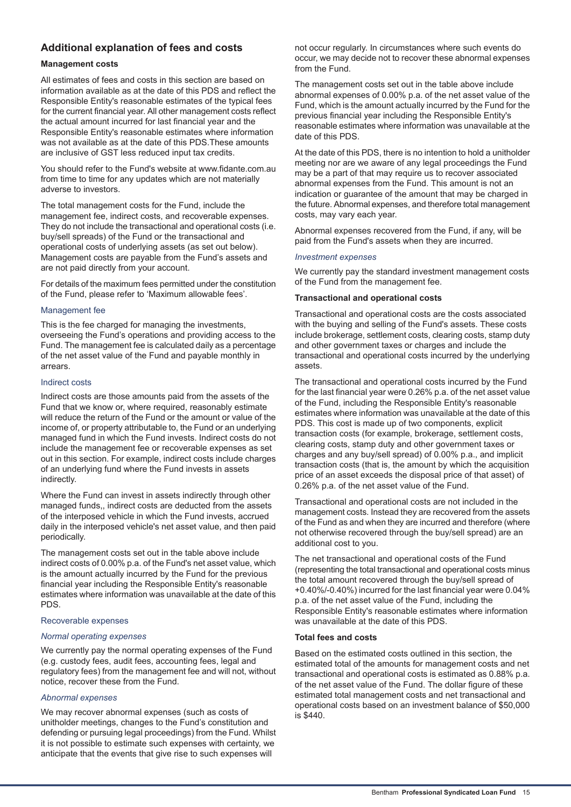## **Additional explanation of fees and costs**

### **Management costs**

All estimates of fees and costs in this section are based on information available as at the date of this PDS and reflect the Responsible Entity's reasonable estimates of the typical fees for the current financial year. All other management costs reflect the actual amount incurred for last financial year and the Responsible Entity's reasonable estimates where information was not available as at the date of this PDS.These amounts are inclusive of GST less reduced input tax credits.

You should refer to the Fund's website at www.fidante.com.au from time to time for any updates which are not materially adverse to investors.

The total management costs for the Fund, include the management fee, indirect costs, and recoverable expenses. They do not include the transactional and operational costs (i.e. buy/sell spreads) of the Fund or the transactional and operational costs of underlying assets (as set out below). Management costs are payable from the Fund's assets and are not paid directly from your account.

For details of the maximum fees permitted under the constitution of the Fund, please refer to 'Maximum allowable fees'.

#### Management fee

This is the fee charged for managing the investments, overseeing the Fund's operations and providing access to the Fund. The management fee is calculated daily as a percentage of the net asset value of the Fund and payable monthly in arrears.

#### Indirect costs

Indirect costs are those amounts paid from the assets of the Fund that we know or, where required, reasonably estimate will reduce the return of the Fund or the amount or value of the income of, or property attributable to, the Fund or an underlying managed fund in which the Fund invests. Indirect costs do not include the management fee or recoverable expenses as set out in this section. For example, indirect costs include charges of an underlying fund where the Fund invests in assets indirectly.

Where the Fund can invest in assets indirectly through other managed funds,, indirect costs are deducted from the assets of the interposed vehicle in which the Fund invests, accrued daily in the interposed vehicle's net asset value, and then paid periodically.

The management costs set out in the table above include indirect costs of 0.00% p.a. of the Fund's net asset value, which is the amount actually incurred by the Fund for the previous financial year including the Responsible Entity's reasonable estimates where information was unavailable at the date of this PDS.

#### Recoverable expenses

#### *Normal operating expenses*

We currently pay the normal operating expenses of the Fund (e.g. custody fees, audit fees, accounting fees, legal and regulatory fees) from the management fee and will not, without notice, recover these from the Fund.

#### *Abnormal expenses*

We may recover abnormal expenses (such as costs of unitholder meetings, changes to the Fund's constitution and defending or pursuing legal proceedings) from the Fund. Whilst it is not possible to estimate such expenses with certainty, we anticipate that the events that give rise to such expenses will

not occur regularly. In circumstances where such events do occur, we may decide not to recover these abnormal expenses from the Fund.

The management costs set out in the table above include abnormal expenses of 0.00% p.a. of the net asset value of the Fund, which is the amount actually incurred by the Fund for the previous financial year including the Responsible Entity's reasonable estimates where information was unavailable at the date of this PDS.

At the date of this PDS, there is no intention to hold a unitholder meeting nor are we aware of any legal proceedings the Fund may be a part of that may require us to recover associated abnormal expenses from the Fund. This amount is not an indication or guarantee of the amount that may be charged in the future. Abnormal expenses, and therefore total management costs, may vary each year.

Abnormal expenses recovered from the Fund, if any, will be paid from the Fund's assets when they are incurred.

#### *Investment expenses*

We currently pay the standard investment management costs of the Fund from the management fee.

#### **Transactional and operational costs**

Transactional and operational costs are the costs associated with the buying and selling of the Fund's assets. These costs include brokerage, settlement costs, clearing costs, stamp duty and other government taxes or charges and include the transactional and operational costs incurred by the underlying assets.

The transactional and operational costs incurred by the Fund for the last financial year were 0.26% p.a. of the net asset value of the Fund, including the Responsible Entity's reasonable estimates where information was unavailable at the date of this PDS. This cost is made up of two components, explicit transaction costs (for example, brokerage, settlement costs, clearing costs, stamp duty and other government taxes or charges and any buy/sell spread) of 0.00% p.a., and implicit transaction costs (that is, the amount by which the acquisition price of an asset exceeds the disposal price of that asset) of 0.26% p.a. of the net asset value of the Fund.

Transactional and operational costs are not included in the management costs. Instead they are recovered from the assets of the Fund as and when they are incurred and therefore (where not otherwise recovered through the buy/sell spread) are an additional cost to you.

The net transactional and operational costs of the Fund (representing the total transactional and operational costs minus the total amount recovered through the buy/sell spread of +0.40%/-0.40%) incurred for the last financial year were 0.04% p.a. of the net asset value of the Fund, including the Responsible Entity's reasonable estimates where information was unavailable at the date of this PDS.

#### **Total fees and costs**

Based on the estimated costs outlined in this section, the estimated total of the amounts for management costs and net transactional and operational costs is estimated as 0.88% p.a. of the net asset value of the Fund. The dollar figure of these estimated total management costs and net transactional and operational costs based on an investment balance of \$50,000 is \$440.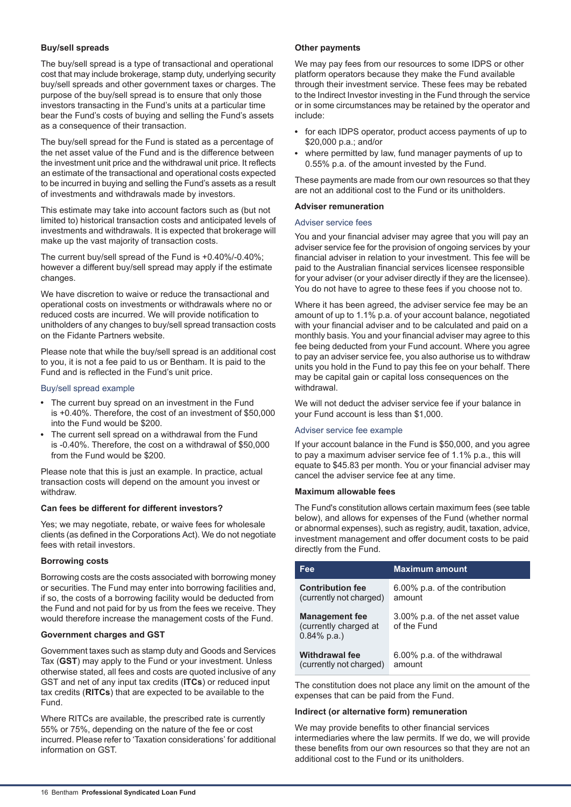## **Buy/sell spreads**

The buy/sell spread is a type of transactional and operational cost that may include brokerage, stamp duty, underlying security buy/sell spreads and other government taxes or charges. The purpose of the buy/sell spread is to ensure that only those investors transacting in the Fund's units at a particular time bear the Fund's costs of buying and selling the Fund's assets as a consequence of their transaction.

The buy/sell spread for the Fund is stated as a percentage of the net asset value of the Fund and is the difference between the investment unit price and the withdrawal unit price. It reflects an estimate of the transactional and operational costs expected to be incurred in buying and selling the Fund's assets as a result of investments and withdrawals made by investors.

This estimate may take into account factors such as (but not limited to) historical transaction costs and anticipated levels of investments and withdrawals. It is expected that brokerage will make up the vast majority of transaction costs.

The current buy/sell spread of the Fund is +0.40%/-0.40%; however a different buy/sell spread may apply if the estimate changes.

We have discretion to waive or reduce the transactional and operational costs on investments or withdrawals where no or reduced costs are incurred. We will provide notification to unitholders of any changes to buy/sell spread transaction costs on the Fidante Partners website.

Please note that while the buy/sell spread is an additional cost to you, it is not a fee paid to us or Bentham. It is paid to the Fund and is reflected in the Fund's unit price.

#### Buy/sell spread example

- The current buy spread on an investment in the Fund is +0.40%. Therefore, the cost of an investment of \$50,000 into the Fund would be \$200.
- The current sell spread on a withdrawal from the Fund is -0.40%. Therefore, the cost on a withdrawal of \$50,000 from the Fund would be \$200.

Please note that this is just an example. In practice, actual transaction costs will depend on the amount you invest or withdraw.

#### **Can fees be different for different investors?**

Yes; we may negotiate, rebate, or waive fees for wholesale clients (as defined in the Corporations Act). We do not negotiate fees with retail investors.

#### **Borrowing costs**

Borrowing costs are the costs associated with borrowing money or securities. The Fund may enter into borrowing facilities and, if so, the costs of a borrowing facility would be deducted from the Fund and not paid for by us from the fees we receive. They would therefore increase the management costs of the Fund.

#### **Government charges and GST**

Government taxes such as stamp duty and Goods and Services Tax (**GST**) may apply to the Fund or your investment. Unless otherwise stated, all fees and costs are quoted inclusive of any GST and net of any input tax credits (**ITCs**) or reduced input tax credits (**RITCs**) that are expected to be available to the Fund.

Where RITCs are available, the prescribed rate is currently 55% or 75%, depending on the nature of the fee or cost incurred. Please refer to 'Taxation considerations' for additional information on GST.

#### **Other payments**

We may pay fees from our resources to some IDPS or other platform operators because they make the Fund available through their investment service. These fees may be rebated to the Indirect Investor investing in the Fund through the service or in some circumstances may be retained by the operator and include:

- for each IDPS operator, product access payments of up to \$20,000 p.a.; and/or
- where permitted by law, fund manager payments of up to 0.55% p.a. of the amount invested by the Fund.

These payments are made from our own resources so that they are not an additional cost to the Fund or its unitholders.

#### **Adviser remuneration**

#### Adviser service fees

You and your financial adviser may agree that you will pay an adviser service fee for the provision of ongoing services by your financial adviser in relation to your investment. This fee will be paid to the Australian financial services licensee responsible for your adviser (or your adviser directly if they are the licensee). You do not have to agree to these fees if you choose not to.

Where it has been agreed, the adviser service fee may be an amount of up to 1.1% p.a. of your account balance, negotiated with your financial adviser and to be calculated and paid on a monthly basis. You and your financial adviser may agree to this fee being deducted from your Fund account. Where you agree to pay an adviser service fee, you also authorise us to withdraw units you hold in the Fund to pay this fee on your behalf. There may be capital gain or capital loss consequences on the withdrawal.

We will not deduct the adviser service fee if your balance in your Fund account is less than \$1,000.

## Adviser service fee example

If your account balance in the Fund is \$50,000, and you agree to pay a maximum adviser service fee of 1.1% p.a., this will equate to \$45.83 per month. You or your financial adviser may cancel the adviser service fee at any time.

#### **Maximum allowable fees**

The Fund's constitution allows certain maximum fees (see table below), and allows for expenses of the Fund (whether normal or abnormal expenses), such as registry, audit, taxation, advice, investment management and offer document costs to be paid directly from the Fund.

| Fee                                                              | <b>Maximum amount</b>                            |
|------------------------------------------------------------------|--------------------------------------------------|
| <b>Contribution fee</b>                                          | 6.00% p.a. of the contribution                   |
| (currently not charged)                                          | amount                                           |
| <b>Management fee</b><br>(currently charged at<br>$0.84\%$ p.a.) | 3.00% p.a. of the net asset value<br>of the Fund |
| <b>Withdrawal fee</b>                                            | 6.00% p.a. of the withdrawal                     |
| (currently not charged)                                          | amount                                           |

The constitution does not place any limit on the amount of the expenses that can be paid from the Fund.

#### **Indirect (or alternative form) remuneration**

We may provide benefits to other financial services intermediaries where the law permits. If we do, we will provide these benefits from our own resources so that they are not an additional cost to the Fund or its unitholders.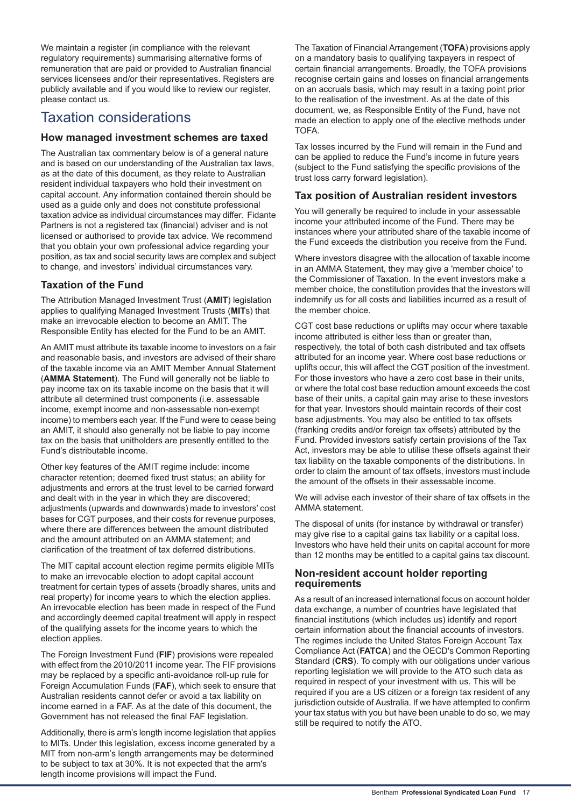We maintain a register (in compliance with the relevant regulatory requirements) summarising alternative forms of remuneration that are paid or provided to Australian financial services licensees and/or their representatives. Registers are publicly available and if you would like to review our register, please contact us.

# <span id="page-16-0"></span>Taxation considerations

## **How managed investment schemes are taxed**

The Australian tax commentary below is of a general nature and is based on our understanding of the Australian tax laws, as at the date of this document, as they relate to Australian resident individual taxpayers who hold their investment on capital account. Any information contained therein should be used as a guide only and does not constitute professional taxation advice as individual circumstances may differ. Fidante Partners is not a registered tax (financial) adviser and is not licensed or authorised to provide tax advice. We recommend that you obtain your own professional advice regarding your position, as tax and social security laws are complex and subject to change, and investors' individual circumstances vary.

## **Taxation of the Fund**

The Attribution Managed Investment Trust (**AMIT**) legislation applies to qualifying Managed Investment Trusts (**MIT**s) that make an irrevocable election to become an AMIT. The Responsible Entity has elected for the Fund to be an AMIT.

An AMIT must attribute its taxable income to investors on a fair and reasonable basis, and investors are advised of their share of the taxable income via an AMIT Member Annual Statement (**AMMA Statement**). The Fund will generally not be liable to pay income tax on its taxable income on the basis that it will attribute all determined trust components (i.e. assessable income, exempt income and non-assessable non-exempt income) to members each year. If the Fund were to cease being an AMIT, it should also generally not be liable to pay income tax on the basis that unitholders are presently entitled to the Fund's distributable income.

Other key features of the AMIT regime include: income character retention; deemed fixed trust status; an ability for adjustments and errors at the trust level to be carried forward and dealt with in the year in which they are discovered; adjustments (upwards and downwards) made to investors' cost bases for CGT purposes, and their costs for revenue purposes, where there are differences between the amount distributed and the amount attributed on an AMMA statement; and clarification of the treatment of tax deferred distributions.

The MIT capital account election regime permits eligible MITs to make an irrevocable election to adopt capital account treatment for certain types of assets (broadly shares, units and real property) for income years to which the election applies. An irrevocable election has been made in respect of the Fund and accordingly deemed capital treatment will apply in respect of the qualifying assets for the income years to which the election applies.

The Foreign Investment Fund (**FIF**) provisions were repealed with effect from the 2010/2011 income year. The FIF provisions may be replaced by a specific anti-avoidance roll-up rule for Foreign Accumulation Funds (**FAF**), which seek to ensure that Australian residents cannot defer or avoid a tax liability on income earned in a FAF. As at the date of this document, the Government has not released the final FAF legislation.

Additionally, there is arm's length income legislation that applies to MITs. Under this legislation, excess income generated by a MIT from non-arm's length arrangements may be determined to be subject to tax at 30%. It is not expected that the arm's length income provisions will impact the Fund.

The Taxation of Financial Arrangement (**TOFA**) provisions apply on a mandatory basis to qualifying taxpayers in respect of certain financial arrangements. Broadly, the TOFA provisions recognise certain gains and losses on financial arrangements on an accruals basis, which may result in a taxing point prior to the realisation of the investment. As at the date of this document, we, as Responsible Entity of the Fund, have not made an election to apply one of the elective methods under TOFA.

Tax losses incurred by the Fund will remain in the Fund and can be applied to reduce the Fund's income in future years (subject to the Fund satisfying the specific provisions of the trust loss carry forward legislation).

## **Tax position of Australian resident investors**

You will generally be required to include in your assessable income your attributed income of the Fund. There may be instances where your attributed share of the taxable income of the Fund exceeds the distribution you receive from the Fund.

Where investors disagree with the allocation of taxable income in an AMMA Statement, they may give a 'member choice' to the Commissioner of Taxation. In the event investors make a member choice, the constitution provides that the investors will indemnify us for all costs and liabilities incurred as a result of the member choice.

CGT cost base reductions or uplifts may occur where taxable income attributed is either less than or greater than, respectively, the total of both cash distributed and tax offsets attributed for an income year. Where cost base reductions or uplifts occur, this will affect the CGT position of the investment. For those investors who have a zero cost base in their units, or where the total cost base reduction amount exceeds the cost base of their units, a capital gain may arise to these investors for that year. Investors should maintain records of their cost base adjustments. You may also be entitled to tax offsets (franking credits and/or foreign tax offsets) attributed by the Fund. Provided investors satisfy certain provisions of the Tax Act, investors may be able to utilise these offsets against their tax liability on the taxable components of the distributions. In order to claim the amount of tax offsets, investors must include the amount of the offsets in their assessable income.

We will advise each investor of their share of tax offsets in the AMMA statement.

The disposal of units (for instance by withdrawal or transfer) may give rise to a capital gains tax liability or a capital loss. Investors who have held their units on capital account for more than 12 months may be entitled to a capital gains tax discount.

## **Non-resident account holder reporting requirements**

As a result of an increased international focus on account holder data exchange, a number of countries have legislated that financial institutions (which includes us) identify and report certain information about the financial accounts of investors. The regimes include the United States Foreign Account Tax Compliance Act (**FATCA**) and the OECD's Common Reporting Standard (**CRS**). To comply with our obligations under various reporting legislation we will provide to the ATO such data as required in respect of your investment with us. This will be required if you are a US citizen or a foreign tax resident of any jurisdiction outside of Australia. If we have attempted to confirm your tax status with you but have been unable to do so, we may still be required to notify the ATO.